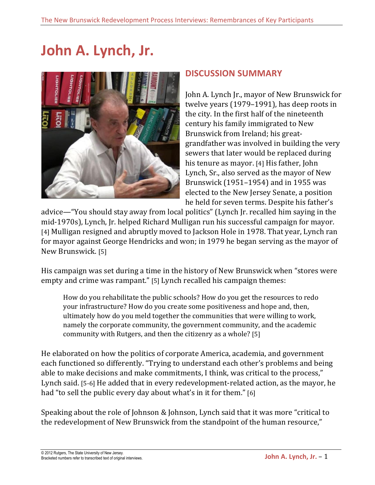# John A. Lynch, Jr.



## **DISCUSSION%SUMMARY**

John A. Lynch Jr., mayor of New Brunswick for twelve years  $(1979-1991)$ , has deep roots in the city. In the first half of the nineteenth century his family immigrated to New Brunswick from Ireland; his greatgrandfather was involved in building the very sewers that later would be replaced during his tenure as mayor. [4] His father, John Lynch, Sr., also served as the mayor of New Brunswick (1951–1954) and in 1955 was elected to the New Jersey Senate, a position he held for seven terms. Despite his father's

advice—"You should stay away from local politics" (Lynch Jr. recalled him saying in the mid-1970s), Lynch, Jr. helped Richard Mulligan run his successful campaign for mayor. [4] Mulligan resigned and abruptly moved to Jackson Hole in 1978. That year, Lynch ran for mayor against George Hendricks and won; in 1979 he began serving as the mayor of New Brunswick. [5]

His campaign was set during a time in the history of New Brunswick when "stores were empty and crime was rampant." [5] Lynch recalled his campaign themes:

How do you rehabilitate the public schools? How do you get the resources to redo your infrastructure? How do you create some positiveness and hope and, then, ultimately how do you meld together the communities that were willing to work, namely the corporate community, the government community, and the academic community with Rutgers, and then the citizenry as a whole? [5]

He elaborated on how the politics of corporate America, academia, and government each functioned so differently. "Trying to understand each other's problems and being able to make decisions and make commitments, I think, was critical to the process," Lynch said. [5-6] He added that in every redevelopment-related action, as the mayor, he had "to sell the public every day about what's in it for them." [6]

Speaking about the role of Johnson & Johnson, Lynch said that it was more "critical to the redevelopment of New Brunswick from the standpoint of the human resource,"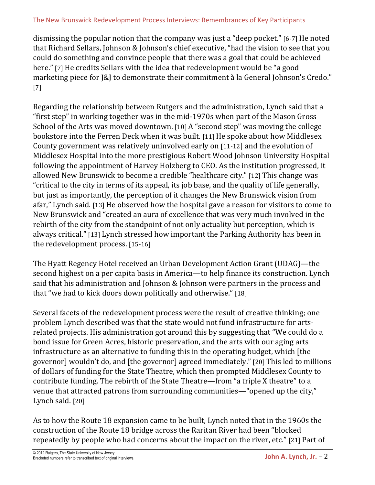dismissing the popular notion that the company was just a "deep pocket." [6-7] He noted that Richard Sellars, Johnson & Johnson's chief executive, "had the vision to see that you could do something and convince people that there was a goal that could be achieved here." [7] He credits Sellars with the idea that redevelopment would be "a good marketing piece for [&J] to demonstrate their commitment à la General Johnson's Credo." [7]

Regarding the relationship between Rutgers and the administration, Lynch said that a "first step" in working together was in the mid-1970s when part of the Mason Gross" School of the Arts was moved downtown. [10] A "second step" was moving the college bookstore into the Ferren Deck when it was built. [11] He spoke about how Middlesex County government was relatively uninvolved early on [11-12] and the evolution of Middlesex Hospital into the more prestigious Robert Wood Johnson University Hospital following the appointment of Harvey Holzberg to CEO. As the institution progressed, it allowed New Brunswick to become a credible "healthcare city." [12] This change was "critical to the city in terms of its appeal, its job base, and the quality of life generally, but just as importantly, the perception of it changes the New Brunswick vision from afar," Lynch said. [13] He observed how the hospital gave a reason for visitors to come to New Brunswick and "created an aura of excellence that was very much involved in the rebirth of the city from the standpoint of not only actuality but perception, which is always critical." [13] Lynch stressed how important the Parking Authority has been in the redevelopment process. [15-16]

The Hyatt Regency Hotel received an Urban Development Action Grant (UDAG)—the second highest on a per capita basis in America—to help finance its construction. Lynch said that his administration and Johnson & Johnson were partners in the process and that "we had to kick doors down politically and otherwise." [18]

Several facets of the redevelopment process were the result of creative thinking; one problem Lynch described was that the state would not fund infrastructure for artsrelated projects. His administration got around this by suggesting that "We could do a bond issue for Green Acres, historic preservation, and the arts with our aging arts infrastructure as an alternative to funding this in the operating budget, which [the governor] wouldn't do, and [the governor] agreed immediately." [20] This led to millions of dollars of funding for the State Theatre, which then prompted Middlesex County to contribute funding. The rebirth of the State Theatre—from "a triple X theatre" to a venue that attracted patrons from surrounding communities—"opened up the city," Lynch said. [20]

As to how the Route 18 expansion came to be built, Lynch noted that in the 1960s the construction of the Route 18 bridge across the Raritan River had been "blocked" repeatedly by people who had concerns about the impact on the river, etc." [21] Part of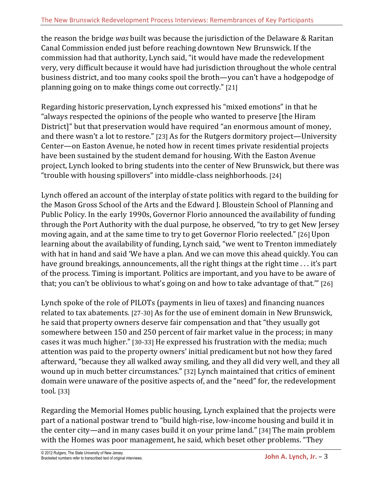the reason the bridge *was* built was because the jurisdiction of the Delaware & Raritan Canal Commission ended just before reaching downtown New Brunswick. If the commission had that authority, Lynch said, "it would have made the redevelopment very, very difficult because it would have had jurisdiction throughout the whole central business district, and too many cooks spoil the broth—you can't have a hodgepodge of planning going on to make things come out correctly." [21]

Regarding historic preservation, Lynch expressed his "mixed emotions" in that he "always respected the opinions of the people who wanted to preserve [the Hiram] District]" but that preservation would have required "an enormous amount of money, and there wasn't a lot to restore." [23] As for the Rutgers dormitory project—University Center—on Easton Avenue, he noted how in recent times private residential projects have been sustained by the student demand for housing. With the Easton Avenue project, Lynch looked to bring students into the center of New Brunswick, but there was "trouble with housing spillovers" into middle-class neighborhoods. [24]

Lynch offered an account of the interplay of state politics with regard to the building for the Mason Gross School of the Arts and the Edward J. Bloustein School of Planning and Public Policy. In the early 1990s, Governor Florio announced the availability of funding through the Port Authority with the dual purpose, he observed, "to try to get New Jersey moving again, and at the same time to try to get Governor Florio reelected." [26] Upon learning about the availability of funding, Lynch said, "we went to Trenton immediately with hat in hand and said 'We have a plan. And we can move this ahead quickly. You can have ground breakings, announcements, all the right things at the right time ... it's part of the process. Timing is important. Politics are important, and you have to be aware of that; you can't be oblivious to what's going on and how to take advantage of that."" [26]

Lynch spoke of the role of PILOTs (payments in lieu of taxes) and financing nuances related to tax abatements. [27-30] As for the use of eminent domain in New Brunswick, he said that property owners deserve fair compensation and that "they usually got somewhere between 150 and 250 percent of fair market value in the process; in many cases it was much higher." [30-33] He expressed his frustration with the media; much attention was paid to the property owners' initial predicament but not how they fared afterward, "because they all walked away smiling, and they all did very well, and they all wound up in much better circumstances." [32] Lynch maintained that critics of eminent domain were unaware of the positive aspects of, and the "need" for, the redevelopment tool. [33]

Regarding the Memorial Homes public housing, Lynch explained that the projects were part of a national postwar trend to "build high-rise, low-income housing and build it in the center city—and in many cases build it on your prime land." [34] The main problem with the Homes was poor management, he said, which beset other problems. "They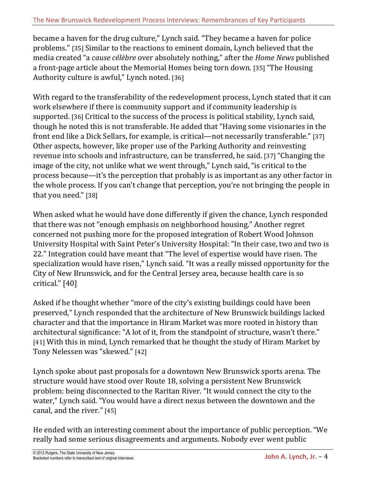became a haven for the drug culture," Lynch said. "They became a haven for police problems." [35] Similar to the reactions to eminent domain, Lynch believed that the media created "a *cause célèbre* over absolutely nothing," after the *Home News* published a front-page article about the Memorial Homes being torn down. [35] "The Housing Authority culture is awful," Lynch noted. [36]

With regard to the transferability of the redevelopment process, Lynch stated that it can work elsewhere if there is community support and if community leadership is supported. [36] Critical to the success of the process is political stability, Lynch said, though he noted this is not transferable. He added that "Having some visionaries in the front end like a Dick Sellars, for example, is critical—not necessarily transferable." [37] Other aspects, however, like proper use of the Parking Authority and reinvesting revenue into schools and infrastructure, can be transferred, he said. [37] "Changing the image of the city, not unlike what we went through," Lynch said, "is critical to the process because—it's the perception that probably is as important as any other factor in the whole process. If you can't change that perception, you're not bringing the people in that you need." [38]

When asked what he would have done differently if given the chance, Lynch responded that there was not "enough emphasis on neighborhood housing." Another regret concerned not pushing more for the proposed integration of Robert Wood Johnson University Hospital with Saint Peter's University Hospital: "In their case, two and two is 22." Integration could have meant that "The level of expertise would have risen. The specialization would have risen," Lynch said. "It was a really missed opportunity for the City of New Brunswick, and for the Central Jersey area, because health care is so critical." [40]

Asked if he thought whether "more of the city's existing buildings could have been preserved," Lynch responded that the architecture of New Brunswick buildings lacked character and that the importance in Hiram Market was more rooted in history than architectural significance: "A lot of it, from the standpoint of structure, wasn't there." [41] With this in mind, Lynch remarked that he thought the study of Hiram Market by Tony Nelessen was "skewed." [42]

Lynch spoke about past proposals for a downtown New Brunswick sports arena. The structure would have stood over Route 18, solving a persistent New Brunswick problem: being disconnected to the Raritan River. "It would connect the city to the water," Lynch said. "You would have a direct nexus between the downtown and the canal, and the river." [45]

He ended with an interesting comment about the importance of public perception. "We really had some serious disagreements and arguments. Nobody ever went public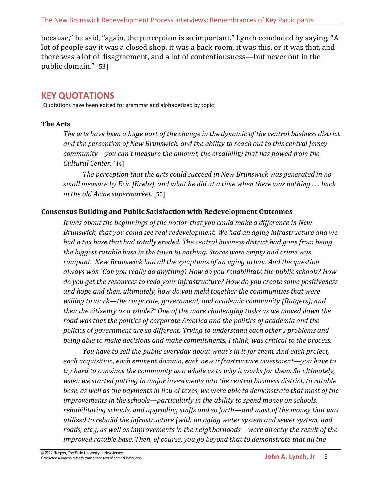because," he said, "again, the perception is so important." Lynch concluded by saying, "A lot of people say it was a closed shop, it was a back room, it was this, or it was that, and there was a lot of disagreement, and a lot of contentiousness—but never out in the public domain." [53]

# **KEY%QUOTATIONS**

[Quotations have been edited for grammar and alphabetized by topic]

## **The Arts**

*The'arts'have'been'a'huge'part'of'the'change'in'the'dynamic'of'the'central'business'district' and'the'perception'of'New'Brunswick,'and'the'ability'to'reach'out'to'this'central'Jersey'* community—you can't measure the amount, the credibility that has flowed from the *Cultural'Center.'*[44]

The perception that the arts could succeed in New Brunswick was generated in no *small'measure'by'Eric'[Krebs],'and'what'he'did'at'a'time'when'there'was'nothing .'.'.'back' in the old Acme supermarket.* [50]

## **Consensus Building and Public Satisfaction with Redevelopment Outcomes**

It was about the beginnings of the notion that you could make a difference in New *Brunswick,'that'you'could'see'real'redevelopment.'We'had'an'aging'infrastructure'and'we' had'a'tax base'that'had'totally'eroded.'The'central'business'district'had'gone'from'being' the'biggest'ratable'base'in'the'town'to'nothing.'Stores were'empty'and'crime'was' rampant.''New'Brunswick'had'all the'symptoms'of'an'aging'urban.'And'the'question' always'was'"Can'you really'do'anything? How'do'you'rehabilitate'the'public'schools?'How' do'you'get'the'resources'to'redo'your'infrastructure?'How'do'you'create'some'positiveness' and'hope'and'then,'ultimately, how'do'you'meld'together'the'communities'that'were' willing'to'work—the'corporate, government, and'academic'community'(Rutgers),'and' then'the'citizenry'as'a'whole?" One'of'the'more'challenging'tasks'as'we'moved'down'the' road'was'that the'politics'of'corporate'America'and'the'politics'of'academia'and'the' politics'of'government'are'so'different.'Trying to'understand'each'other's'problems'and'* being able to make decisions and make commitments, I think, was critical to the process.

You have to sell the public everyday about what's in it for them. And each project, *each'acquisition,'each'eminent'domain,'each'new'infrastructure'investment—you'have'to' try'hard'to'convince'the'community'as'a'whole'as'to'why'it'works'for'them. So'ultimately,'* when we started putting in major investments into the central business district, to ratable base, as well as the payments in lieu of taxes, we were able to demonstrate that most of the improvements in the schools—particularly in the ability to spend money on schools, rehabilitating schools, and upgrading staffs and so forth—and most of the money that was *utilized'to'rebuild'the'infrastructure'(with'an'aging'water'system'and'sewer'system,'and'* roads, etc.), as well as improvements in the neighborhoods—were directly the result of the improved ratable base. Then, of course, you go beyond that to demonstrate that all the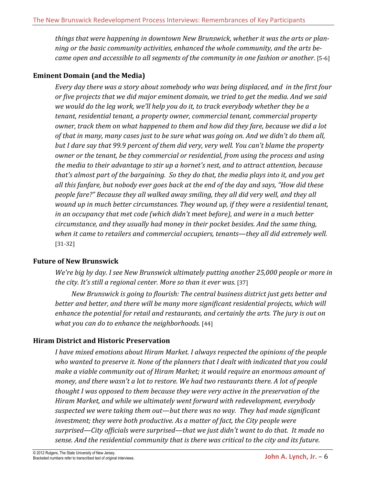things that were happening in downtown New Brunswick, whether it was the arts or plan*ning'or'the'basic'community'activities,'enhanced'the'whole'community,'and'the'arts'beY* came open and accessible to all segments of the community in one fashion or another. [5-6]

#### **Eminent Domain (and the Media)**

*Every day'there'was'a'story'about'somebody'who'was'being'displaced,'and''in'the'first'four' or'five'projects'that'we'did'major'eminent'domain,'we'tried'to'get'the'media.'And'we'said' we'would'do'the'leg'work,'we'll'help'you'do'it,'to'track'everybody'whether'they'be'a'* tenant, residential tenant, a property owner, commercial tenant, commercial property *owner,'track'them'on'what'happened'to'them'and'how'did'they'fare,'because'we'did'a'lot'* of that in many, many cases just to be sure what was going on. And we didn't do them all, *but'I'dare'say'that'99.9'percent'of'them'did'very,'very'well.'You'can't'blame'the'property' owner'or'the'tenant,'be'they'commercial'or'residential,'from'using'the'process'and'using' the'media'to'their'advantage'to'stir'up'a'hornet's'nest,'and'to'attract'attention,'because'* that's almost part of the bargaining. So they do that, the media plays into it, and you get *all'this'fanfare,'but'nobody'ever'goes'back'at'the'end'of'the'day'and'says,'"How'did'these' people'fare?"'Because'they'all'walked'away'smiling,'they'all'did'very'well,'and'they'all' wound'up'in'much'better'circumstances.'They'wound'up,'if'they'were'a'residential'tenant,'* in an occupancy that met code (which didn't meet before), and were in a much better *circumstance,'and'they'usually'had'money'in'their'pocket'besides.'And'the'same'thing,'* when it came to retailers and commercial occupiers, tenants—they all did extremely well.  $[31-32]$ 

#### **Future of New Brunswick**

*We're big by day. I see New Brunswick ultimately putting another 25,000 people or more in* the city. It's still a regional center. More so than it ever was. [37]

*New'Brunswick'is'going'to'flourish: The central'business'district'just'gets'better'and'* better and better, and there will be many more significant residential projects, which will *enhance'the'potential'for'retail'and'restaurants,'and'certainly'the'arts. The'jury'is'out'on' what'you'can'do'to'enhance'the'neighborhoods.'*[44]

## **Hiram\$District\$and\$Historic\$Preservation**

*I'have'mixed'emotions'about'Hiram'Market.'I'always'respected'the'opinions'of'the'people' who'wanted'to'preserve'it.'None of'the'planners'that'I'dealt'with indicated'that'you'could' make'a viable'community'out'of'Hiram'Market;'it'would'require'an'enormous'amount'of' money,'and'there'wasn't'a'lot'to'restore.'We'had'two'restaurants'there. A'lot'of'people' thought'I'was'opposed'to'them'because'they'were'very'active'in'the'preservation'of'the' Hiram'Market,'and'while'we'ultimately'went'forward'with'redevelopment,'everybody' suspected'we'were'taking'them'out—but'there'was'no'way.''They'had'made'significant'* investment; they were both productive. As a matter of fact, the City people were *surprised—City officials'were'surprised—that'we'just'didn't'want'to'do'that.''It'made'no' sense.'And'the'residential'community'that'is'there'was'critical'to'the'city'and'its'future.'*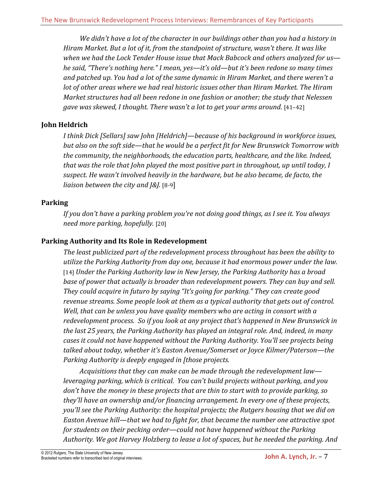*We'didn't'have'a'lot'of'the'character'in'our'buildings'other'than'you'had'a'history'in' Hiram'Market.'But'a'lot'of'it,'from'the'standpoint'of'structure,'wasn't'there.'It'was'like' when'we'had'the'Lock'Tender'House'issue'that'Mack'Babcock'and'others analyzed'for'us he'said,'"There's'nothing'here." I'mean,'yes—it's'old—but'it's'been'redone'so'many'times' and'patched'up.'You'had'a'lot'of'the'same'dynamic'in'Hiram'Market,'and'there'weren't'a' lot'of'other'areas'where'we'had'real'historic'issues'other'than'Hiram'Market. The'Hiram' Market structures had all been redone in one fashion or another; the study that Nelessen gave'was'skewed,'I'thought.'There'wasn't'a'lot'to'get'your'arms'around.'*[41–42]

## **John\$Heldrich**

*I'think'Dick'[Sellars]'saw'John'[Heldrich]—because'of'his'background'in'workforce issues,' but also'on'the'soft'side—that'he'would'be'a'perfect'fit'for'New'Brunswick'Tomorrow'with' the'community,'the'neighborhoods,'the'education'parts, healthcare,'and'the'like.'Indeed,' that'was'the'role'that'John'played'the'most'positive'part'in'throughout,'up'until today, I' suspect.'He'wasn't'involved'heavily'in'the'hardware,'but'he'also'became,'de'facto,'the' liaison between the city and J&J.* [8-9]

## **Parking**

*If'you'don't'have'a'parking'problem'you're'not'doing'good'things, as'I'see'it.'You'always' need'more'parking, hopefully.* [20]

## **Parking Authority and Its Role in Redevelopment**

The least publicized part of the redevelopment process throughout has been the ability to *utilize'the'Parking'Authority'from'day'one,'because'it had'enormous'power'under'the'law.'* [14] *Under the Parking Authority law in New Jersey, the Parking Authority has a broad* base of power that actually is broader than redevelopment powers. They can buy and sell. *They'could'acquire'in'futuro'by'saying'"It's'going'for'parking."'They'can'create'good'* revenue streams. Some people look at them as a typical authority that gets out of control. Well, that can be unless you have quality members who are acting in consort with a *redevelopment'process.''So'if'you'look'at'any'project'that's'happened'in'New'Brunswick'in' the'last'25'years,'the'Parking'Authority'has'played'an'integral'role.'And,'indeed,'in'many'* cases it could not have happened without the Parking Authority. You'll see projects being *talked'about'today,'whether'it's'Easton'Avenue/Somerset'or'Joyce'Kilmer/Paterson—the'* Parking Authority is deeply engaged in [those projects.

*Acquisitions'that'they'can'make'can'be'made'through'the'redevelopment'law leveraging parking, which is critical. You can't build projects without parking, and you* don't have the money in these projects that are thin to start with to provide parking, so *they'll'have'an'ownership'and/or'financing'arrangement. In'every'one'of'these'projects,* you'll see the Parking Authority: the hospital projects; the Rutgers housing that we did on *Easton'Avenue'hill—that'we'had'to'fight'for,'that'became'the'number'one'attractive'spot'* for students on their pecking order—could not have happened without the Parking' *Authority.'We'got'Harvey'Holzberg'to'lease'a'lot'of'spaces,'but'he'needed'the'parking.'And'*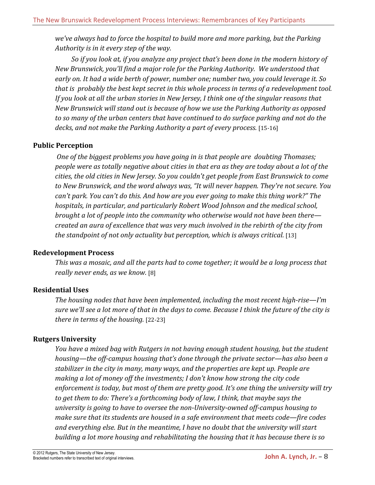*we've'always'had'to'force'the'hospital'to'build'more'and'more'parking,'but'the'Parking' Authority'is'in'it'every'step'of'the'way.''*

*So'if'you'look'at,'if'you'analyze'any'project'that's'been'done'in'the'modern'history'of' New'Brunswick,'you'll'find'a'major'role'for'the'Parking'Authority.''We understood'that'* early on. It had a wide berth of power, number one; number two, you could leverage it. So *that'is' probably'the'best'kept'secret'in'this'whole'process'in'terms'of'a'redevelopment'tool.'* If you look at all the urban stories in New Jersey, I think one of the singular reasons that *New'Brunswick'will'stand'out'is'because'of'how'we'use'the'Parking'Authority'as'opposed'* to so many of the urban centers that have continued to do surface parking and not do the decks, and not make the Parking Authority a part of every process. [15-16]

## **Public\$Perception**

*One'of'the'biggest'problems'you'have'going'in is'that'people'are''doubting'Thomases; people'were'as'totally'negative'about'cities'in'that'era'as'they'are'today'about'a lot'of'the' cities,'the'old'cities'in'New'Jersey.'So you'couldn't'get'people'from'East'Brunswick'to'come'* to New Brunswick, and the word always was, "It will never happen. They're not secure. You *can't'park.'You'can't'do'this.'And'how'are'you'ever'going'to'make'this'thing'work?" The' hospitals,'in'particular,'and'particularly'Robert'Wood'Johnson'and'the'medical'school,' brought'a'lot'of'people'into'the'community'who'otherwise'would'not'have'been'there created'an'aura'of'excellence'that'was'very'much'involved'in'the'rebirth'of'the'city'from' the standpoint of not only actuality but perception, which is always critical.* [13]

#### **Redevelopment\$Process**

This was a mosaic, and all the parts had to come together; it would be a long process that really never ends, as we know. [8]

#### **Residential\$Uses\$**

*The housing nodes that have been implemented, including the most recent high-rise—I'm sure'we'll'see'a'lot'more'of'that'in'the'days'to'come.'Because'I'think'the'future'of'the'city'is' there in terms of the housing.* [22-23]

#### **Rutgers\$University**

You have a mixed bag with Rutgers in not having enough student housing, but the student *housing—the off-campus housing that's done through the private sector—has also been a* stabilizer in the city in many, many ways, and the properties are kept up. People are *making'a'lot'of'money'off'the'investments;'I'don't'know'how'strong'the'city'code'* enforcement is today, but most of them are pretty good. It's one thing the university will try *to'get'them'to'do:'There's'a'forthcoming'body'of'law, I think, that'maybe'says'the'* university is going to have to oversee the non-University-owned off-campus housing to make sure that its students are housed in a safe environment that meets code—fire codes and everything else. But in the meantime, I have no doubt that the university will start *building'a'lot'more'housing'and'rehabilitating'the'housing'that'it'has'because'there'is'so'*